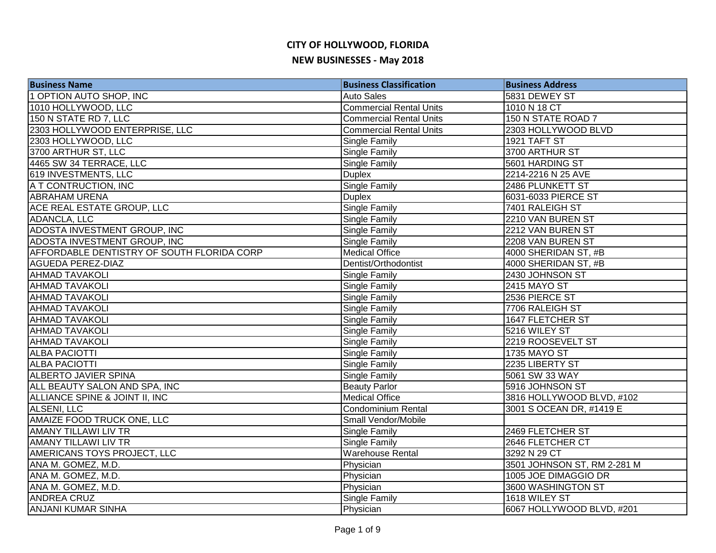| <b>Business Name</b>                       | <b>Business Classification</b> | <b>Business Address</b>     |
|--------------------------------------------|--------------------------------|-----------------------------|
| 1 OPTION AUTO SHOP, INC                    | <b>Auto Sales</b>              | 5831 DEWEY ST               |
| 1010 HOLLYWOOD, LLC                        | <b>Commercial Rental Units</b> | 1010 N 18 CT                |
| 150 N STATE RD 7, LLC                      | <b>Commercial Rental Units</b> | 150 N STATE ROAD 7          |
| 2303 HOLLYWOOD ENTERPRISE, LLC             | <b>Commercial Rental Units</b> | 2303 HOLLYWOOD BLVD         |
| 2303 HOLLYWOOD, LLC                        | <b>Single Family</b>           | 1921 TAFT ST                |
| 3700 ARTHUR ST, LLC                        | Single Family                  | 3700 ARTHUR ST              |
| 4465 SW 34 TERRACE, LLC                    | Single Family                  | 5601 HARDING ST             |
| 619 INVESTMENTS, LLC                       | <b>Duplex</b>                  | 2214-2216 N 25 AVE          |
| A T CONTRUCTION, INC                       | Single Family                  | 2486 PLUNKETT ST            |
| <b>ABRAHAM URENA</b>                       | <b>Duplex</b>                  | 6031-6033 PIERCE ST         |
| ACE REAL ESTATE GROUP, LLC                 | <b>Single Family</b>           | 7401 RALEIGH ST             |
| ADANCLA, LLC                               | Single Family                  | 2210 VAN BUREN ST           |
| ADOSTA INVESTMENT GROUP, INC               | Single Family                  | 2212 VAN BUREN ST           |
| ADOSTA INVESTMENT GROUP, INC               | Single Family                  | 2208 VAN BUREN ST           |
| AFFORDABLE DENTISTRY OF SOUTH FLORIDA CORP | <b>Medical Office</b>          | 4000 SHERIDAN ST, #B        |
| <b>AGUEDA PEREZ-DIAZ</b>                   | Dentist/Orthodontist           | 4000 SHERIDAN ST, #B        |
| <b>AHMAD TAVAKOLI</b>                      | <b>Single Family</b>           | 2430 JOHNSON ST             |
| <b>AHMAD TAVAKOLI</b>                      | <b>Single Family</b>           | 2415 MAYO ST                |
| <b>AHMAD TAVAKOLI</b>                      | Single Family                  | 2536 PIERCE ST              |
| <b>AHMAD TAVAKOLI</b>                      | Single Family                  | 7706 RALEIGH ST             |
| <b>AHMAD TAVAKOLI</b>                      | Single Family                  | 1647 FLETCHER ST            |
| <b>AHMAD TAVAKOLI</b>                      | Single Family                  | 5216 WILEY ST               |
| <b>AHMAD TAVAKOLI</b>                      | <b>Single Family</b>           | 2219 ROOSEVELT ST           |
| <b>ALBA PACIOTTI</b>                       | <b>Single Family</b>           | <b>1735 MAYO ST</b>         |
| <b>ALBA PACIOTTI</b>                       | <b>Single Family</b>           | 2235 LIBERTY ST             |
| <b>ALBERTO JAVIER SPINA</b>                | Single Family                  | 5061 SW 33 WAY              |
| ALL BEAUTY SALON AND SPA, INC              | <b>Beauty Parlor</b>           | 5916 JOHNSON ST             |
| ALLIANCE SPINE & JOINT II, INC             | <b>Medical Office</b>          | 3816 HOLLYWOOD BLVD, #102   |
| ALSENI, LLC                                | <b>Condominium Rental</b>      | 3001 S OCEAN DR, #1419 E    |
| AMAIZE FOOD TRUCK ONE, LLC                 | Small Vendor/Mobile            |                             |
| <b>AMANY TILLAWI LIV TR</b>                | Single Family                  | 2469 FLETCHER ST            |
| <b>AMANY TILLAWI LIV TR</b>                | Single Family                  | 2646 FLETCHER CT            |
| AMERICANS TOYS PROJECT, LLC                | <b>Warehouse Rental</b>        | 3292 N 29 CT                |
| ANA M. GOMEZ, M.D.                         | Physician                      | 3501 JOHNSON ST, RM 2-281 M |
| ANA M. GOMEZ, M.D.                         | Physician                      | 1005 JOE DIMAGGIO DR        |
| ANA M. GOMEZ, M.D.                         | Physician                      | 3600 WASHINGTON ST          |
| <b>ANDREA CRUZ</b>                         | <b>Single Family</b>           | 1618 WILEY ST               |
| <b>ANJANI KUMAR SINHA</b>                  | Physician                      | 6067 HOLLYWOOD BLVD, #201   |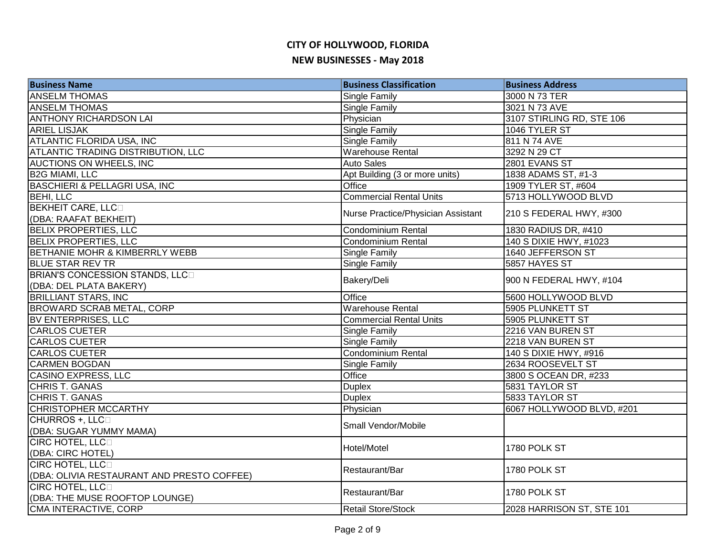| <b>Business Name</b>                       | <b>Business Classification</b>     | <b>Business Address</b>   |
|--------------------------------------------|------------------------------------|---------------------------|
| <b>ANSELM THOMAS</b>                       | <b>Single Family</b>               | 3000 N 73 TER             |
| <b>ANSELM THOMAS</b>                       | <b>Single Family</b>               | 3021 N 73 AVE             |
| <b>ANTHONY RICHARDSON LAI</b>              | Physician                          | 3107 STIRLING RD, STE 106 |
| <b>ARIEL LISJAK</b>                        | <b>Single Family</b>               | 1046 TYLER ST             |
| <b>ATLANTIC FLORIDA USA, INC</b>           | <b>Single Family</b>               | 811 N 74 AVE              |
| <b>ATLANTIC TRADING DISTRIBUTION, LLC</b>  | <b>Warehouse Rental</b>            | 3292 N 29 CT              |
| <b>AUCTIONS ON WHEELS, INC</b>             | <b>Auto Sales</b>                  | 2801 EVANS ST             |
| <b>B2G MIAMI, LLC</b>                      | Apt Building (3 or more units)     | 1838 ADAMS ST, #1-3       |
| <b>BASCHIERI &amp; PELLAGRI USA, INC</b>   | Office                             | 1909 TYLER ST, #604       |
| <b>BEHI, LLC</b>                           | <b>Commercial Rental Units</b>     | 5713 HOLLYWOOD BLVD       |
| <b>BEKHEIT CARE, LLCO</b>                  | Nurse Practice/Physician Assistant | 210 S FEDERAL HWY, #300   |
| (DBA: RAAFAT BEKHEIT)                      |                                    |                           |
| <b>BELIX PROPERTIES, LLC</b>               | Condominium Rental                 | 1830 RADIUS DR, #410      |
| <b>BELIX PROPERTIES, LLC</b>               | Condominium Rental                 | 140 S DIXIE HWY, #1023    |
| BETHANIE MOHR & KIMBERRLY WEBB             | <b>Single Family</b>               | 1640 JEFFERSON ST         |
| <b>BLUE STAR REV TR</b>                    | Single Family                      | 5857 HAYES ST             |
| BRIAN'S CONCESSION STANDS, LLCD            | Bakery/Deli                        | 900 N FEDERAL HWY, #104   |
| (DBA: DEL PLATA BAKERY)                    |                                    |                           |
| <b>BRILLIANT STARS, INC</b>                | Office                             | 5600 HOLLYWOOD BLVD       |
| <b>BROWARD SCRAB METAL, CORP</b>           | <b>Warehouse Rental</b>            | 5905 PLUNKETT ST          |
| <b>BV ENTERPRISES, LLC</b>                 | <b>Commercial Rental Units</b>     | 5905 PLUNKETT ST          |
| <b>CARLOS CUETER</b>                       | <b>Single Family</b>               | 2216 VAN BUREN ST         |
| <b>CARLOS CUETER</b>                       | <b>Single Family</b>               | 2218 VAN BUREN ST         |
| <b>CARLOS CUETER</b>                       | <b>Condominium Rental</b>          | 140 S DIXIE HWY, #916     |
| <b>CARMEN BOGDAN</b>                       | <b>Single Family</b>               | 2634 ROOSEVELT ST         |
| <b>CASINO EXPRESS, LLC</b>                 | Office                             | 3800 S OCEAN DR, #233     |
| <b>CHRIS T. GANAS</b>                      | <b>Duplex</b>                      | 5831 TAYLOR ST            |
| <b>CHRIS T. GANAS</b>                      | <b>Duplex</b>                      | 5833 TAYLOR ST            |
| <b>CHRISTOPHER MCCARTHY</b>                | Physician                          | 6067 HOLLYWOOD BLVD, #201 |
| CHURROS +, LLCO                            | Small Vendor/Mobile                |                           |
| (DBA: SUGAR YUMMY MAMA)                    |                                    |                           |
| <b>CIRC HOTEL, LLCO</b>                    | Hotel/Motel                        | 1780 POLK ST              |
| (DBA: CIRC HOTEL)                          |                                    |                           |
| CIRC HOTEL, LLCD                           | Restaurant/Bar                     | 1780 POLK ST              |
| (DBA: OLIVIA RESTAURANT AND PRESTO COFFEE) |                                    |                           |
| <b>CIRC HOTEL, LLCO</b>                    | Restaurant/Bar                     | 1780 POLK ST              |
| (DBA: THE MUSE ROOFTOP LOUNGE)             |                                    |                           |
| CMA INTERACTIVE, CORP                      | Retail Store/Stock                 | 2028 HARRISON ST, STE 101 |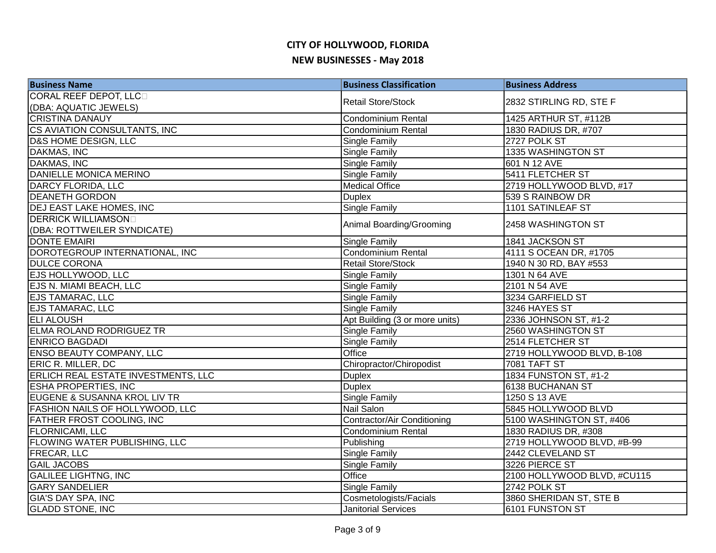| <b>Business Name</b>                       | <b>Business Classification</b>     | <b>Business Address</b>     |
|--------------------------------------------|------------------------------------|-----------------------------|
| CORAL REEF DEPOT, LLC                      | <b>Retail Store/Stock</b>          | 2832 STIRLING RD, STE F     |
| (DBA: AQUATIC JEWELS)                      |                                    |                             |
| <b>CRISTINA DANAUY</b>                     | <b>Condominium Rental</b>          | 1425 ARTHUR ST, #112B       |
| CS AVIATION CONSULTANTS, INC               | Condominium Rental                 | 1830 RADIUS DR, #707        |
| D&S HOME DESIGN, LLC                       | <b>Single Family</b>               | 2727 POLK ST                |
| <b>DAKMAS, INC</b>                         | <b>Single Family</b>               | 1335 WASHINGTON ST          |
| <b>DAKMAS, INC</b>                         | <b>Single Family</b>               | 601 N 12 AVE                |
| DANIELLE MONICA MERINO                     | <b>Single Family</b>               | 5411 FLETCHER ST            |
| DARCY FLORIDA, LLC                         | <b>Medical Office</b>              | 2719 HOLLYWOOD BLVD, #17    |
| <b>DEANETH GORDON</b>                      | <b>Duplex</b>                      | 539 S RAINBOW DR            |
| <b>DEJ EAST LAKE HOMES, INC</b>            | <b>Single Family</b>               | 1101 SATINLEAF ST           |
| <b>DERRICK WILLIAMSOND</b>                 |                                    | 2458 WASHINGTON ST          |
| (DBA: ROTTWEILER SYNDICATE)                | Animal Boarding/Grooming           |                             |
| DONTE EMAIRI                               | <b>Single Family</b>               | 1841 JACKSON ST             |
| DOROTEGROUP INTERNATIONAL, INC             | Condominium Rental                 | 4111 S OCEAN DR, #1705      |
| <b>DULCE CORONA</b>                        | <b>Retail Store/Stock</b>          | 1940 N 30 RD, BAY #553      |
| <b>EJS HOLLYWOOD, LLC</b>                  | Single Family                      | 1301 N 64 AVE               |
| EJS N. MIAMI BEACH, LLC                    | <b>Single Family</b>               | 2101 N 54 AVE               |
| <b>EJS TAMARAC, LLC</b>                    | <b>Single Family</b>               | 3234 GARFIELD ST            |
| <b>EJS TAMARAC, LLC</b>                    | <b>Single Family</b>               | 3246 HAYES ST               |
| <b>ELI ALOUSH</b>                          | Apt Building (3 or more units)     | 2336 JOHNSON ST, #1-2       |
| <b>ELMA ROLAND RODRIGUEZ TR</b>            | Single Family                      | 2560 WASHINGTON ST          |
| <b>ENRICO BAGDADI</b>                      | Single Family                      | 2514 FLETCHER ST            |
| <b>ENSO BEAUTY COMPANY, LLC</b>            | Office                             | 2719 HOLLYWOOD BLVD, B-108  |
| ERIC R. MILLER, DC                         | Chiropractor/Chiropodist           | <b>7081 TAFT ST</b>         |
| <b>ERLICH REAL ESTATE INVESTMENTS, LLC</b> | <b>Duplex</b>                      | 1834 FUNSTON ST, #1-2       |
| <b>ESHA PROPERTIES, INC</b>                | <b>Duplex</b>                      | 6138 BUCHANAN ST            |
| EUGENE & SUSANNA KROL LIV TR               | <b>Single Family</b>               | 1250 S 13 AVE               |
| <b>FASHION NAILS OF HOLLYWOOD, LLC</b>     | <b>Nail Salon</b>                  | 5845 HOLLYWOOD BLVD         |
| <b>FATHER FROST COOLING, INC</b>           | <b>Contractor/Air Conditioning</b> | 5100 WASHINGTON ST, #406    |
| <b>FLORNICAMI, LLC</b>                     | Condominium Rental                 | 1830 RADIUS DR, #308        |
| <b>FLOWING WATER PUBLISHING, LLC</b>       | Publishing                         | 2719 HOLLYWOOD BLVD, #B-99  |
| <b>FRECAR, LLC</b>                         | Single Family                      | 2442 CLEVELAND ST           |
| <b>GAIL JACOBS</b>                         | <b>Single Family</b>               | 3226 PIERCE ST              |
| <b>GALILEE LIGHTNG, INC</b>                | Office                             | 2100 HOLLYWOOD BLVD, #CU115 |
| <b>GARY SANDELIER</b>                      | <b>Single Family</b>               | 2742 POLK ST                |
| <b>GIA'S DAY SPA, INC</b>                  | Cosmetologists/Facials             | 3860 SHERIDAN ST, STE B     |
| <b>GLADD STONE, INC</b>                    | <b>Janitorial Services</b>         | 6101 FUNSTON ST             |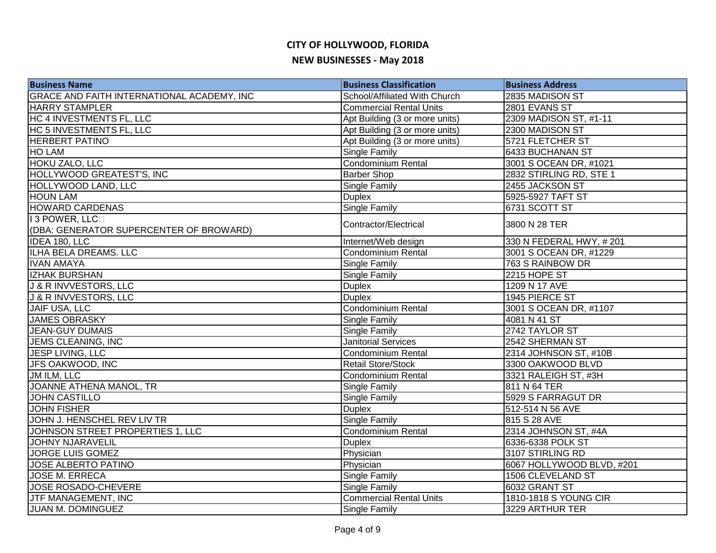| <b>Business Name</b>                              | <b>Business Classification</b> | <b>Business Address</b>   |
|---------------------------------------------------|--------------------------------|---------------------------|
| <b>GRACE AND FAITH INTERNATIONAL ACADEMY, INC</b> | School/Affiliated With Church  | 2835 MADISON ST           |
| <b>HARRY STAMPLER</b>                             | <b>Commercial Rental Units</b> | 2801 EVANS ST             |
| HC 4 INVESTMENTS FL, LLC                          | Apt Building (3 or more units) | 2309 MADISON ST, #1-11    |
| HC 5 INVESTMENTS FL, LLC                          | Apt Building (3 or more units) | 2300 MADISON ST           |
| <b>HERBERT PATINO</b>                             | Apt Building (3 or more units) | 5721 FLETCHER ST          |
| <b>HO LAM</b>                                     | <b>Single Family</b>           | 6433 BUCHANAN ST          |
| <b>HOKU ZALO, LLC</b>                             | Condominium Rental             | 3001 S OCEAN DR, #1021    |
| <b>HOLLYWOOD GREATEST'S, INC</b>                  | <b>Barber Shop</b>             | 2832 STIRLING RD, STE 1   |
| HOLLYWOOD LAND, LLC                               | Single Family                  | 2455 JACKSON ST           |
| <b>HOUN LAM</b>                                   | <b>Duplex</b>                  | 5925-5927 TAFT ST         |
| <b>HOWARD CARDENAS</b>                            | Single Family                  | 6731 SCOTT ST             |
| I 3 POWER, LLCD                                   | Contractor/Electrical          | 3800 N 28 TER             |
| (DBA: GENERATOR SUPERCENTER OF BROWARD)           |                                |                           |
| IDEA 180, LLC                                     | Internet/Web design            | 330 N FEDERAL HWY, #201   |
| <b>ILHA BELA DREAMS. LLC</b>                      | <b>Condominium Rental</b>      | 3001 S OCEAN DR, #1229    |
| <b>IVAN AMAYA</b>                                 | <b>Single Family</b>           | 763 S RAINBOW DR          |
| <b>IZHAK BURSHAN</b>                              | <b>Single Family</b>           | 2215 HOPE ST              |
| <b>J &amp; R INVVESTORS, LLC</b>                  | <b>Duplex</b>                  | 1209 N 17 AVE             |
| J & R INVVESTORS, LLC                             | <b>Duplex</b>                  | 1945 PIERCE ST            |
| JAIF USA, LLC                                     | <b>Condominium Rental</b>      | 3001 S OCEAN DR, #1107    |
| <b>JAMES OBRASKY</b>                              | Single Family                  | 4081 N 41 ST              |
| <b>JEAN-GUY DUMAIS</b>                            | Single Family                  | 2742 TAYLOR ST            |
| <b>JEMS CLEANING, INC</b>                         | <b>Janitorial Services</b>     | 2542 SHERMAN ST           |
| JESP LIVING, LLC                                  | Condominium Rental             | 2314 JOHNSON ST, #10B     |
| JFS OAKWOOD, INC                                  | <b>Retail Store/Stock</b>      | 3300 OAKWOOD BLVD         |
| JM ILM, LLC                                       | <b>Condominium Rental</b>      | 3321 RALEIGH ST, #3H      |
| JOANNE ATHENA MANOL, TR                           | <b>Single Family</b>           | 811 N 64 TER              |
| <b>JOHN CASTILLO</b>                              | <b>Single Family</b>           | 5929 S FARRAGUT DR        |
| <b>JOHN FISHER</b>                                | <b>Duplex</b>                  | 512-514 N 56 AVE          |
| JOHN J. HENSCHEL REV LIV TR                       | <b>Single Family</b>           | 815 S 28 AVE              |
| JOHNSON STREET PROPERTIES 1, LLC                  | Condominium Rental             | 2314 JOHNSON ST, #4A      |
| <b>JOHNY NJARAVELIL</b>                           | <b>Duplex</b>                  | 6336-6338 POLK ST         |
| JORGE LUIS GOMEZ                                  | Physician                      | 3107 STIRLING RD          |
| JOSE ALBERTO PATINO                               | Physician                      | 6067 HOLLYWOOD BLVD, #201 |
| <b>JOSE M. ERRECA</b>                             | <b>Single Family</b>           | 1506 CLEVELAND ST         |
| JOSE ROSADO-CHEVERE                               | <b>Single Family</b>           | 6032 GRANT ST             |
| JTF MANAGEMENT, INC                               | <b>Commercial Rental Units</b> | 1810-1818 S YOUNG CIR     |
| JUAN M. DOMINGUEZ                                 | <b>Single Family</b>           | 3229 ARTHUR TER           |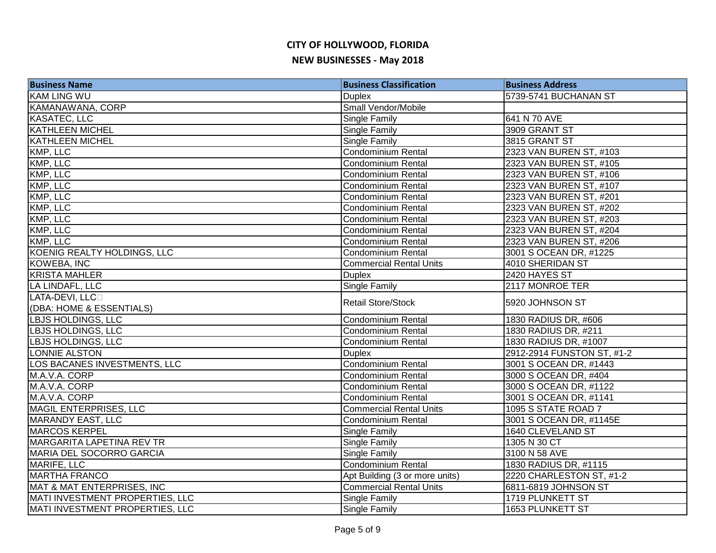| <b>Business Name</b>            | <b>Business Classification</b> | <b>Business Address</b>    |
|---------------------------------|--------------------------------|----------------------------|
| <b>KAM LING WU</b>              | <b>Duplex</b>                  | 5739-5741 BUCHANAN ST      |
| KAMANAWANA, CORP                | Small Vendor/Mobile            |                            |
| <b>KASATEC, LLC</b>             | <b>Single Family</b>           | 641 N 70 AVE               |
| <b>KATHLEEN MICHEL</b>          | <b>Single Family</b>           | 3909 GRANT ST              |
| <b>KATHLEEN MICHEL</b>          | <b>Single Family</b>           | 3815 GRANT ST              |
| KMP, LLC                        | Condominium Rental             | 2323 VAN BUREN ST, #103    |
| KMP, LLC                        | <b>Condominium Rental</b>      | 2323 VAN BUREN ST, #105    |
| KMP, LLC                        | Condominium Rental             | 2323 VAN BUREN ST, #106    |
| KMP, LLC                        | <b>Condominium Rental</b>      | 2323 VAN BUREN ST, #107    |
| KMP, LLC                        | <b>Condominium Rental</b>      | 2323 VAN BUREN ST, #201    |
| KMP, LLC                        | <b>Condominium Rental</b>      | 2323 VAN BUREN ST, #202    |
| KMP, LLC                        | <b>Condominium Rental</b>      | 2323 VAN BUREN ST, #203    |
| KMP, LLC                        | <b>Condominium Rental</b>      | 2323 VAN BUREN ST, #204    |
| KMP, LLC                        | Condominium Rental             | 2323 VAN BUREN ST, #206    |
| KOENIG REALTY HOLDINGS, LLC     | <b>Condominium Rental</b>      | 3001 S OCEAN DR, #1225     |
| <b>KOWEBA, INC</b>              | <b>Commercial Rental Units</b> | 4010 SHERIDAN ST           |
| <b>KRISTA MAHLER</b>            | <b>Duplex</b>                  | 2420 HAYES ST              |
| LA LINDAFL, LLC                 | <b>Single Family</b>           | 2117 MONROE TER            |
| LATA-DEVI, LLCO                 | <b>Retail Store/Stock</b>      | 5920 JOHNSON ST            |
| (DBA: HOME & ESSENTIALS)        |                                |                            |
| <b>LBJS HOLDINGS, LLC</b>       | <b>Condominium Rental</b>      | 1830 RADIUS DR, #606       |
| <b>LBJS HOLDINGS, LLC</b>       | <b>Condominium Rental</b>      | 1830 RADIUS DR, #211       |
| <b>LBJS HOLDINGS, LLC</b>       | <b>Condominium Rental</b>      | 1830 RADIUS DR, #1007      |
| LONNIE ALSTON                   | <b>Duplex</b>                  | 2912-2914 FUNSTON ST, #1-2 |
| LOS BACANES INVESTMENTS, LLC    | <b>Condominium Rental</b>      | 3001 S OCEAN DR, #1443     |
| M.A.V.A. CORP                   | <b>Condominium Rental</b>      | 3000 S OCEAN DR, #404      |
| M.A.V.A. CORP                   | <b>Condominium Rental</b>      | 3000 S OCEAN DR, #1122     |
| M.A.V.A. CORP                   | Condominium Rental             | 3001 S OCEAN DR, #1141     |
| <b>MAGIL ENTERPRISES, LLC</b>   | <b>Commercial Rental Units</b> | 1095 S STATE ROAD 7        |
| MARANDY EAST, LLC               | Condominium Rental             | 3001 S OCEAN DR, #1145E    |
| <b>MARCOS KERPEL</b>            | Single Family                  | 1640 CLEVELAND ST          |
| MARGARITA LAPETINA REV TR       | Single Family                  | 1305 N 30 CT               |
| MARIA DEL SOCORRO GARCIA        | Single Family                  | 3100 N 58 AVE              |
| MARIFE, LLC                     | Condominium Rental             | 1830 RADIUS DR, #1115      |
| <b>MARTHA FRANCO</b>            | Apt Building (3 or more units) | 2220 CHARLESTON ST, #1-2   |
| MAT & MAT ENTERPRISES, INC      | <b>Commercial Rental Units</b> | 6811-6819 JOHNSON ST       |
| MATI INVESTMENT PROPERTIES, LLC | <b>Single Family</b>           | 1719 PLUNKETT ST           |
| MATI INVESTMENT PROPERTIES, LLC | <b>Single Family</b>           | 1653 PLUNKETT ST           |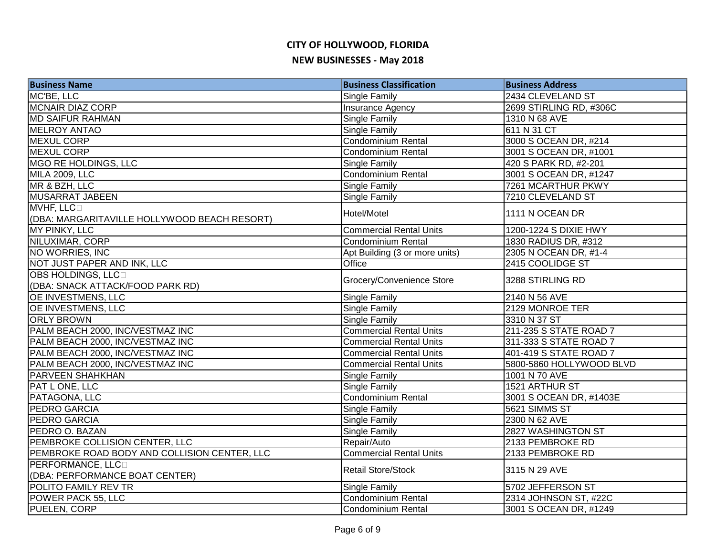| <b>Business Name</b>                                      | <b>Business Classification</b> | <b>Business Address</b>  |
|-----------------------------------------------------------|--------------------------------|--------------------------|
| MC'BE, LLC                                                | Single Family                  | 2434 CLEVELAND ST        |
| <b>MCNAIR DIAZ CORP</b>                                   | Insurance Agency               | 2699 STIRLING RD, #306C  |
| <b>MD SAIFUR RAHMAN</b>                                   | Single Family                  | 1310 N 68 AVE            |
| <b>MELROY ANTAO</b>                                       | <b>Single Family</b>           | 611 N 31 CT              |
| <b>MEXUL CORP</b>                                         | Condominium Rental             | 3000 S OCEAN DR, #214    |
| <b>MEXUL CORP</b>                                         | <b>Condominium Rental</b>      | 3001 S OCEAN DR, #1001   |
| MGO RE HOLDINGS, LLC                                      | <b>Single Family</b>           | 420 S PARK RD, #2-201    |
| MILA 2009, LLC                                            | <b>Condominium Rental</b>      | 3001 S OCEAN DR, #1247   |
| MR & BZH, LLC                                             | Single Family                  | 7261 MCARTHUR PKWY       |
| MUSARRAT JABEEN                                           | Single Family                  | 7210 CLEVELAND ST        |
| MVHF, LLC<br>(DBA: MARGARITAVILLE HOLLYWOOD BEACH RESORT) | Hotel/Motel                    | 1111 N OCEAN DR          |
| MY PINKY, LLC                                             | <b>Commercial Rental Units</b> | 1200-1224 S DIXIE HWY    |
| NILUXIMAR, CORP                                           | Condominium Rental             | 1830 RADIUS DR, #312     |
| NO WORRIES, INC                                           | Apt Building (3 or more units) | 2305 N OCEAN DR, #1-4    |
| NOT JUST PAPER AND INK, LLC                               | Office                         | 2415 COOLIDGE ST         |
| OBS HOLDINGS, LLCD                                        |                                |                          |
| (DBA: SNACK ATTACK/FOOD PARK RD)                          | Grocery/Convenience Store      | 3288 STIRLING RD         |
| <b>OE INVESTMENS, LLC</b>                                 | Single Family                  | 2140 N 56 AVE            |
| <b>OE INVESTMENS, LLC</b>                                 | Single Family                  | 2129 MONROE TER          |
| <b>ORLY BROWN</b>                                         | Single Family                  | 3310 N 37 ST             |
| PALM BEACH 2000, INC/VESTMAZ INC                          | <b>Commercial Rental Units</b> | 211-235 S STATE ROAD 7   |
| PALM BEACH 2000, INC/VESTMAZ INC                          | <b>Commercial Rental Units</b> | 311-333 S STATE ROAD 7   |
| PALM BEACH 2000, INC/VESTMAZ INC                          | <b>Commercial Rental Units</b> | 401-419 S STATE ROAD 7   |
| PALM BEACH 2000, INC/VESTMAZ INC                          | <b>Commercial Rental Units</b> | 5800-5860 HOLLYWOOD BLVD |
| <b>PARVEEN SHAHKHAN</b>                                   | Single Family                  | 1001 N 70 AVE            |
| PAT L ONE, LLC                                            | <b>Single Family</b>           | 1521 ARTHUR ST           |
| PATAGONA, LLC                                             | <b>Condominium Rental</b>      | 3001 S OCEAN DR, #1403E  |
| <b>PEDRO GARCIA</b>                                       | Single Family                  | 5621 SIMMS ST            |
| PEDRO GARCIA                                              | Single Family                  | 2300 N 62 AVE            |
| PEDRO O. BAZAN                                            | Single Family                  | 2827 WASHINGTON ST       |
| PEMBROKE COLLISION CENTER, LLC                            | Repair/Auto                    | 2133 PEMBROKE RD         |
| PEMBROKE ROAD BODY AND COLLISION CENTER, LLC              | <b>Commercial Rental Units</b> | 2133 PEMBROKE RD         |
| PERFORMANCE, LLCO                                         | <b>Retail Store/Stock</b>      | 3115 N 29 AVE            |
| (DBA: PERFORMANCE BOAT CENTER)                            |                                |                          |
| POLITO FAMILY REV TR                                      | Single Family                  | 5702 JEFFERSON ST        |
| POWER PACK 55, LLC                                        | <b>Condominium Rental</b>      | 2314 JOHNSON ST, #22C    |
| PUELEN, CORP                                              | Condominium Rental             | 3001 S OCEAN DR, #1249   |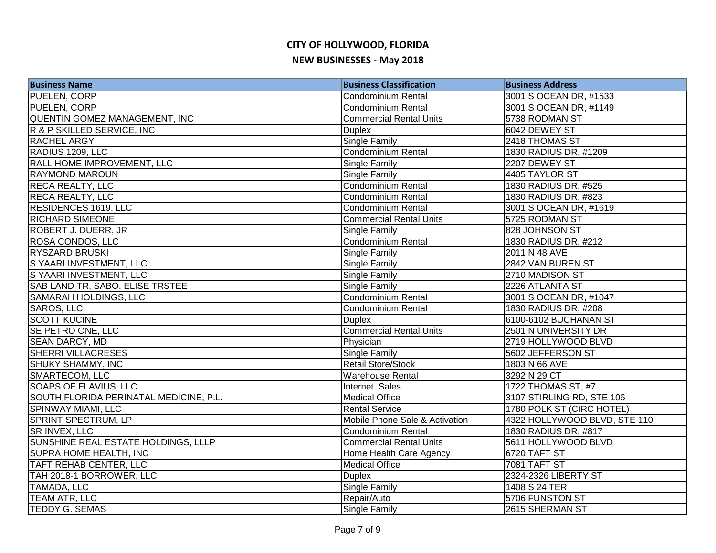| <b>Business Name</b>                   | <b>Business Classification</b> | <b>Business Address</b>      |
|----------------------------------------|--------------------------------|------------------------------|
| <b>PUELEN, CORP</b>                    | <b>Condominium Rental</b>      | 3001 S OCEAN DR, #1533       |
| PUELEN, CORP                           | <b>Condominium Rental</b>      | 3001 S OCEAN DR, #1149       |
| QUENTIN GOMEZ MANAGEMENT, INC          | <b>Commercial Rental Units</b> | 5738 RODMAN ST               |
| R & P SKILLED SERVICE, INC             | <b>Duplex</b>                  | 6042 DEWEY ST                |
| <b>RACHEL ARGY</b>                     | <b>Single Family</b>           | 2418 THOMAS ST               |
| RADIUS 1209, LLC                       | Condominium Rental             | 1830 RADIUS DR, #1209        |
| RALL HOME IMPROVEMENT, LLC             | <b>Single Family</b>           | 2207 DEWEY ST                |
| <b>RAYMOND MAROUN</b>                  | <b>Single Family</b>           | 4405 TAYLOR ST               |
| <b>RECA REALTY, LLC</b>                | <b>Condominium Rental</b>      | 1830 RADIUS DR, #525         |
| <b>RECA REALTY, LLC</b>                | <b>Condominium Rental</b>      | 1830 RADIUS DR, #823         |
| RESIDENCES 1619, LLC                   | <b>Condominium Rental</b>      | 3001 S OCEAN DR, #1619       |
| <b>RICHARD SIMEONE</b>                 | <b>Commercial Rental Units</b> | 5725 RODMAN ST               |
| <b>ROBERT J. DUERR, JR</b>             | <b>Single Family</b>           | 828 JOHNSON ST               |
| <b>ROSA CONDOS, LLC</b>                | <b>Condominium Rental</b>      | 1830 RADIUS DR, #212         |
| <b>RYSZARD BRUSKI</b>                  | Single Family                  | 2011 N 48 AVE                |
| S YAARI INVESTMENT, LLC                | Single Family                  | 2842 VAN BUREN ST            |
| S YAARI INVESTMENT, LLC                | Single Family                  | 2710 MADISON ST              |
| SAB LAND TR, SABO, ELISE TRSTEE        | Single Family                  | 2226 ATLANTA ST              |
| SAMARAH HOLDINGS, LLC                  | Condominium Rental             | 3001 S OCEAN DR, #1047       |
| <b>SAROS, LLC</b>                      | <b>Condominium Rental</b>      | 1830 RADIUS DR, #208         |
| <b>SCOTT KUCINE</b>                    | <b>Duplex</b>                  | 6100-6102 BUCHANAN ST        |
| SE PETRO ONE, LLC                      | <b>Commercial Rental Units</b> | 2501 N UNIVERSITY DR         |
| <b>SEAN DARCY, MD</b>                  | Physician                      | 2719 HOLLYWOOD BLVD          |
| <b>SHERRI VILLACRESES</b>              | <b>Single Family</b>           | 5602 JEFFERSON ST            |
| <b>SHUKY SHAMMY, INC</b>               | Retail Store/Stock             | 1803 N 66 AVE                |
| <b>SMARTECOM, LLC</b>                  | <b>Warehouse Rental</b>        | 3292 N 29 CT                 |
| <b>SOAPS OF FLAVIUS, LLC</b>           | Internet Sales                 | 1722 THOMAS ST, #7           |
| SOUTH FLORIDA PERINATAL MEDICINE, P.L. | <b>Medical Office</b>          | 3107 STIRLING RD, STE 106    |
| <b>SPINWAY MIAMI, LLC</b>              | <b>Rental Service</b>          | 1780 POLK ST (CIRC HOTEL)    |
| <b>SPRINT SPECTRUM, LP</b>             | Mobile Phone Sale & Activation | 4322 HOLLYWOOD BLVD, STE 110 |
| <b>SR INVEX, LLC</b>                   | <b>Condominium Rental</b>      | 1830 RADIUS DR, #817         |
| SUNSHINE REAL ESTATE HOLDINGS, LLLP    | <b>Commercial Rental Units</b> | 5611 HOLLYWOOD BLVD          |
| <b>SUPRA HOME HEALTH, INC</b>          | Home Health Care Agency        | 6720 TAFT ST                 |
| TAFT REHAB CENTER, LLC                 | <b>Medical Office</b>          | <b>7081 TAFT ST</b>          |
| TAH 2018-1 BORROWER, LLC               | <b>Duplex</b>                  | 2324-2326 LIBERTY ST         |
| <b>TAMADA, LLC</b>                     | Single Family                  | 1408 S 24 TER                |
| TEAM ATR, LLC                          | Repair/Auto                    | 5706 FUNSTON ST              |
| <b>TEDDY G. SEMAS</b>                  | <b>Single Family</b>           | 2615 SHERMAN ST              |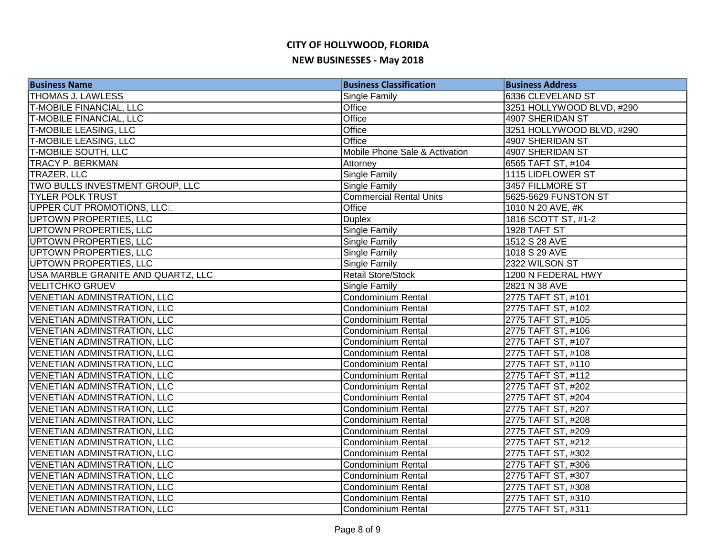| <b>Business Name</b>               | <b>Business Classification</b> | <b>Business Address</b>   |
|------------------------------------|--------------------------------|---------------------------|
| <b>THOMAS J. LAWLESS</b>           | Single Family                  | 6336 CLEVELAND ST         |
| <b>T-MOBILE FINANCIAL, LLC</b>     | Office                         | 3251 HOLLYWOOD BLVD, #290 |
| <b>T-MOBILE FINANCIAL, LLC</b>     | Office                         | 4907 SHERIDAN ST          |
| <b>T-MOBILE LEASING, LLC</b>       | Office                         | 3251 HOLLYWOOD BLVD, #290 |
| <b>T-MOBILE LEASING, LLC</b>       | Office                         | 4907 SHERIDAN ST          |
| T-MOBILE SOUTH, LLC                | Mobile Phone Sale & Activation | 4907 SHERIDAN ST          |
| <b>TRACY P. BERKMAN</b>            | Attorney                       | 6565 TAFT ST, #104        |
| TRAZER, LLC                        | Single Family                  | 1115 LIDFLOWER ST         |
| TWO BULLS INVESTMENT GROUP, LLC    | Single Family                  | 3457 FILLMORE ST          |
| <b>TYLER POLK TRUST</b>            | <b>Commercial Rental Units</b> | 5625-5629 FUNSTON ST      |
| UPPER CUT PROMOTIONS, LLCD         | Office                         | 1010 N 20 AVE, #K         |
| UPTOWN PROPERTIES, LLC             | <b>Duplex</b>                  | 1816 SCOTT ST, #1-2       |
| UPTOWN PROPERTIES, LLC             | Single Family                  | 1928 TAFT ST              |
| UPTOWN PROPERTIES, LLC             | Single Family                  | 1512 S 28 AVE             |
| <b>UPTOWN PROPERTIES, LLC</b>      | Single Family                  | 1018 S 29 AVE             |
| UPTOWN PROPERTIES, LLC             | <b>Single Family</b>           | 2322 WILSON ST            |
| USA MARBLE GRANITE AND QUARTZ, LLC | <b>Retail Store/Stock</b>      | 1200 N FEDERAL HWY        |
| <b>VELITCHKO GRUEV</b>             | Single Family                  | 2821 N 38 AVE             |
| <b>VENETIAN ADMINSTRATION, LLC</b> | <b>Condominium Rental</b>      | 2775 TAFT ST, #101        |
| <b>VENETIAN ADMINSTRATION, LLC</b> | <b>Condominium Rental</b>      | 2775 TAFT ST, #102        |
| <b>VENETIAN ADMINSTRATION, LLC</b> | <b>Condominium Rental</b>      | 2775 TAFT ST, #105        |
| <b>VENETIAN ADMINSTRATION, LLC</b> | <b>Condominium Rental</b>      | 2775 TAFT ST, #106        |
| <b>VENETIAN ADMINSTRATION, LLC</b> | <b>Condominium Rental</b>      | 2775 TAFT ST, #107        |
| <b>VENETIAN ADMINSTRATION, LLC</b> | Condominium Rental             | 2775 TAFT ST, #108        |
| <b>VENETIAN ADMINSTRATION, LLC</b> | <b>Condominium Rental</b>      | 2775 TAFT ST, #110        |
| <b>VENETIAN ADMINSTRATION, LLC</b> | <b>Condominium Rental</b>      | 2775 TAFT ST, #112        |
| <b>VENETIAN ADMINSTRATION, LLC</b> | Condominium Rental             | 2775 TAFT ST, #202        |
| <b>VENETIAN ADMINSTRATION, LLC</b> | <b>Condominium Rental</b>      | 2775 TAFT ST, #204        |
| <b>VENETIAN ADMINSTRATION, LLC</b> | <b>Condominium Rental</b>      | 2775 TAFT ST, #207        |
| <b>VENETIAN ADMINSTRATION, LLC</b> | <b>Condominium Rental</b>      | 2775 TAFT ST, #208        |
| <b>VENETIAN ADMINSTRATION, LLC</b> | <b>Condominium Rental</b>      | 2775 TAFT ST, #209        |
| VENETIAN ADMINSTRATION, LLC        | Condominium Rental             | 2775 TAFT ST, #212        |
| <b>VENETIAN ADMINSTRATION, LLC</b> | <b>Condominium Rental</b>      | 2775 TAFT ST, #302        |
| <b>VENETIAN ADMINSTRATION, LLC</b> | Condominium Rental             | 2775 TAFT ST, #306        |
| <b>VENETIAN ADMINSTRATION, LLC</b> | Condominium Rental             | 2775 TAFT ST, #307        |
| <b>VENETIAN ADMINSTRATION, LLC</b> | <b>Condominium Rental</b>      | 2775 TAFT ST, #308        |
| <b>VENETIAN ADMINSTRATION, LLC</b> | <b>Condominium Rental</b>      | 2775 TAFT ST, #310        |
| <b>VENETIAN ADMINSTRATION, LLC</b> | Condominium Rental             | 2775 TAFT ST, #311        |